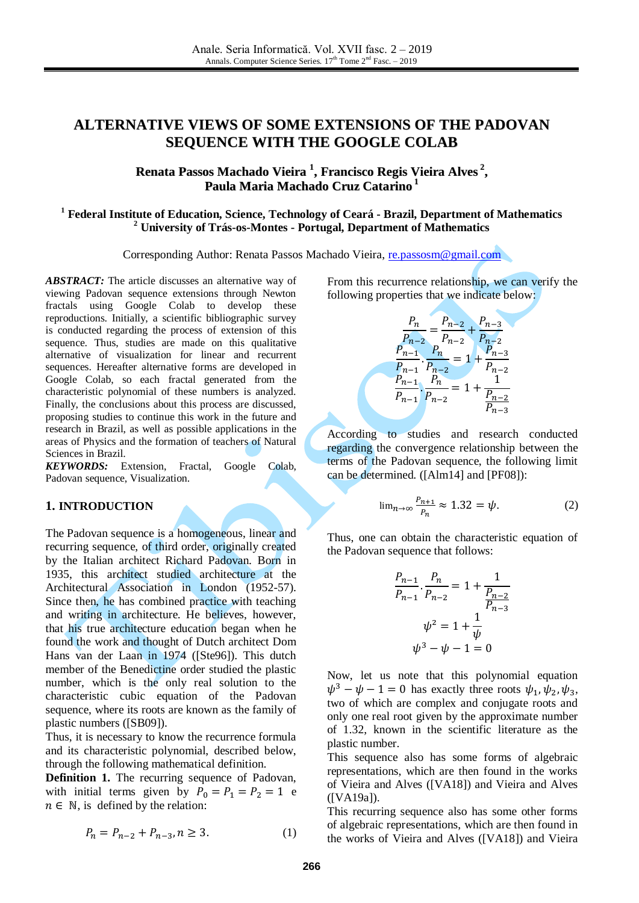# **ALTERNATIVE VIEWS OF SOME EXTENSIONS OF THE PADOVAN SEQUENCE WITH THE GOOGLE COLAB**

# **Renata Passos Machado Vieira 1 , Francisco Regis Vieira Alves 2 , Paula Maria Machado Cruz Catarino 1**

#### **<sup>1</sup> Federal Institute of Education, Science, Technology of Ceará - Brazil, Department of Mathematics <sup>2</sup> University of Trás-os-Montes - Portugal, Department of Mathematics**

Corresponding Author: Renata Passos Machado Vieira, [re.passosm@gmail.com](mailto:re.passosm@gmail.com)

ABSTRACT: The article discusses an alternative way of viewing Padovan sequence extensions through Newton fractals using Google Colab to develop these reproductions. Initially, a scientific bibliographic survey is conducted regarding the process of extension of this sequence. Thus, studies are made on this qualitative alternative of visualization for linear and recurrent sequences. Hereafter alternative forms are developed in Google Colab, so each fractal generated from the characteristic polynomial of these numbers is analyzed. Finally, the conclusions about this process are discussed, proposing studies to continue this work in the future and research in Brazil, as well as possible applications in the areas of Physics and the formation of teachers of Natural Sciences in Brazil.

*KEYWORDS:* Extension, Fractal, Google Colab, Padovan sequence, Visualization.

#### **1. INTRODUCTION**

The Padovan sequence is a homogeneous, linear and recurring sequence, of third order, originally created by the Italian architect Richard Padovan. Born in 1935, this architect studied architecture at the Architectural Association in London (1952-57). Since then, he has combined practice with teaching and writing in architecture. He believes, however, that his true architecture education began when he found the work and thought of Dutch architect Dom Hans van der Laan in 1974 ([Ste96]). This dutch member of the Benedictine order studied the plastic number, which is the only real solution to the characteristic cubic equation of the Padovan sequence, where its roots are known as the family of plastic numbers ([SB09]).

Thus, it is necessary to know the recurrence formula and its characteristic polynomial, described below, through the following mathematical definition.

**Definition 1.** The recurring sequence of Padovan, with initial terms given by  $P_0 = P_1 = P_2 = 1$  e  $n \in \mathbb{N}$ , is defined by the relation:

$$
P_n = P_{n-2} + P_{n-3}, n \ge 3. \tag{1}
$$

From this recurrence relationship, we can verify the following properties that we indicate below:

$$
\frac{P_n}{P_{n-2}} = \frac{P_{n-2}}{P_{n-2}} + \frac{P_{n-3}}{P_{n-2}}
$$

$$
\frac{P_{n-1}}{P_{n-1}} \cdot \frac{P_n}{P_{n-2}} = 1 + \frac{P_{n-3}}{P_{n-2}}
$$

$$
\frac{P_{n-1}}{P_{n-1}} \cdot \frac{P_n}{P_{n-2}} = 1 + \frac{1}{\frac{P_{n-2}}{P_{n-3}}}
$$

According to studies and research conducted regarding the convergence relationship between the terms of the Padovan sequence, the following limit can be determined. ([Alm14] and [PF08]):

$$
\lim_{n \to \infty} \frac{P_{n+1}}{P_n} \approx 1.32 = \psi. \tag{2}
$$

Thus, one can obtain the characteristic equation of the Padovan sequence that follows:

$$
\frac{P_{n-1}}{P_{n-1}} \cdot \frac{P_n}{P_{n-2}} = 1 + \frac{1}{\frac{P_{n-2}}{P_{n-3}}}
$$

$$
\psi^2 = 1 + \frac{1}{\psi}
$$

$$
\psi^3 - \psi - 1 = 0
$$

Now, let us note that this polynomial equation  $\psi^3 - \psi - 1 = 0$  has exactly three roots  $\psi_1, \psi_2, \psi_3$ , two of which are complex and conjugate roots and only one real root given by the approximate number of 1.32, known in the scientific literature as the plastic number.

This sequence also has some forms of algebraic representations, which are then found in the works of Vieira and Alves ([VA18]) and Vieira and Alves ([VA19a]).

This recurring sequence also has some other forms of algebraic representations, which are then found in the works of Vieira and Alves ([VA18]) and Vieira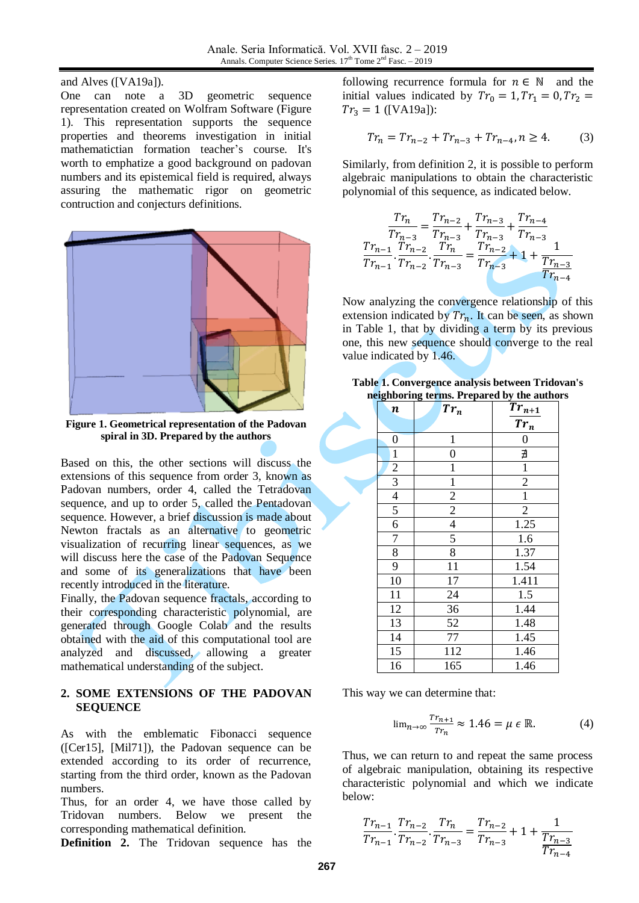and Alves ([VA19a]).

One can note a 3D geometric sequence representation created on Wolfram Software (Figure 1). This representation supports the sequence properties and theorems investigation in initial mathematictian formation teacher's course. It's worth to emphatize a good background on padovan numbers and its epistemical field is required, always assuring the mathematic rigor on geometric contruction and conjecturs definitions.



**Figure 1. Geometrical representation of the Padovan spiral in 3D. Prepared by the authors**

Based on this, the other sections will discuss the extensions of this sequence from order 3, known as Padovan numbers, order 4, called the Tetradovan sequence, and up to order 5, called the Pentadovan sequence. However, a brief discussion is made about Newton fractals as an alternative to geometric visualization of recurring linear sequences, as we will discuss here the case of the Padovan Sequence and some of its generalizations that have been recently introduced in the literature.

Finally, the Padovan sequence fractals, according to their corresponding characteristic polynomial, are generated through Google Colab and the results obtained with the aid of this computational tool are analyzed and discussed, allowing a greater mathematical understanding of the subject.

### **2. SOME EXTENSIONS OF THE PADOVAN SEQUENCE**

As with the emblematic Fibonacci sequence ([Cer15], [Mil71]), the Padovan sequence can be extended according to its order of recurrence, starting from the third order, known as the Padovan numbers.

Thus, for an order 4, we have those called by Tridovan numbers. Below we present the corresponding mathematical definition.

**Definition 2.** The Tridovan sequence has the

following recurrence formula for  $n \in \mathbb{N}$  and the initial values indicated by  $Tr_0 = 1, Tr_1 = 0, Tr_2 =$  $Tr_3 = 1$  ([VA19a]):

$$
Tr_n = Tr_{n-2} + Tr_{n-3} + Tr_{n-4}, n \ge 4.
$$
 (3)

Similarly, from definition 2, it is possible to perform algebraic manipulations to obtain the characteristic polynomial of this sequence, as indicated below.

$$
\frac{Tr_{n}}{Tr_{n-3}} = \frac{Tr_{n-2}}{Tr_{n-3}} + \frac{Tr_{n-3}}{Tr_{n-3}} + \frac{Tr_{n-4}}{Tr_{n-3}}
$$

$$
\frac{Tr_{n-1}}{Tr_{n-1}} \cdot \frac{Tr_{n-2}}{Tr_{n-2}} \cdot \frac{Tr_{n}}{Tr_{n-3}} = \frac{Tr_{n-2}}{Tr_{n-3}} + 1 + \frac{1}{Tr_{n-3}}
$$

$$
\frac{Tr_{n-1}}{Tr_{n-4}}
$$

Now analyzing the convergence relationship of this extension indicated by  $Tr_n$ . It can be seen, as shown in Table 1, that by dividing a term by its previous one, this new sequence should converge to the real value indicated by 1.46.

|  | Table 1. Convergence analysis between Tridovan's |  |
|--|--------------------------------------------------|--|
|  | neighboring terms. Prepared by the authors       |  |

| $\boldsymbol{n}$ | $Tr_n$         | $Tr_{n+1}$     |
|------------------|----------------|----------------|
|                  |                | $Tr_n$         |
| $\boldsymbol{0}$ | $\mathbf{1}$   | 0              |
| $\mathbf{1}$     | $\overline{0}$ | ∄              |
| $\overline{c}$   | $\mathbf{1}$   | $\mathbf{1}$   |
| $\overline{3}$   | $\mathbf{1}$   | $\overline{2}$ |
| $\overline{4}$   | $\overline{2}$ | $\mathbf{1}$   |
| 5                | $\overline{2}$ | $\overline{2}$ |
| $\overline{6}$   | $\overline{4}$ | 1.25           |
| $\overline{7}$   | 5              | 1.6            |
| 8                | 8              | 1.37           |
| 9                | 11             | 1.54           |
| 10               | 17             | 1.411          |
| 11               | 24             | 1.5            |
| 12               | 36             | 1.44           |
| 13               | 52             | 1.48           |
| 14               | 77             | 1.45           |
| 15               | 112            | 1.46           |
| 16               | 165            | 1.46           |

This way we can determine that:

$$
\lim_{n \to \infty} \frac{r_{r_{n+1}}}{r_{r_n}} \approx 1.46 = \mu \in \mathbb{R}.
$$
 (4)

Thus, we can return to and repeat the same process of algebraic manipulation, obtaining its respective characteristic polynomial and which we indicate below:

$$
\frac{Tr_{n-1}}{Tr_{n-1}} \cdot \frac{Tr_{n-2}}{Tr_{n-2}} \cdot \frac{Tr_n}{Tr_{n-3}} = \frac{Tr_{n-2}}{Tr_{n-3}} + 1 + \frac{1}{\frac{Tr_{n-3}}{Tr_{n-4}}}
$$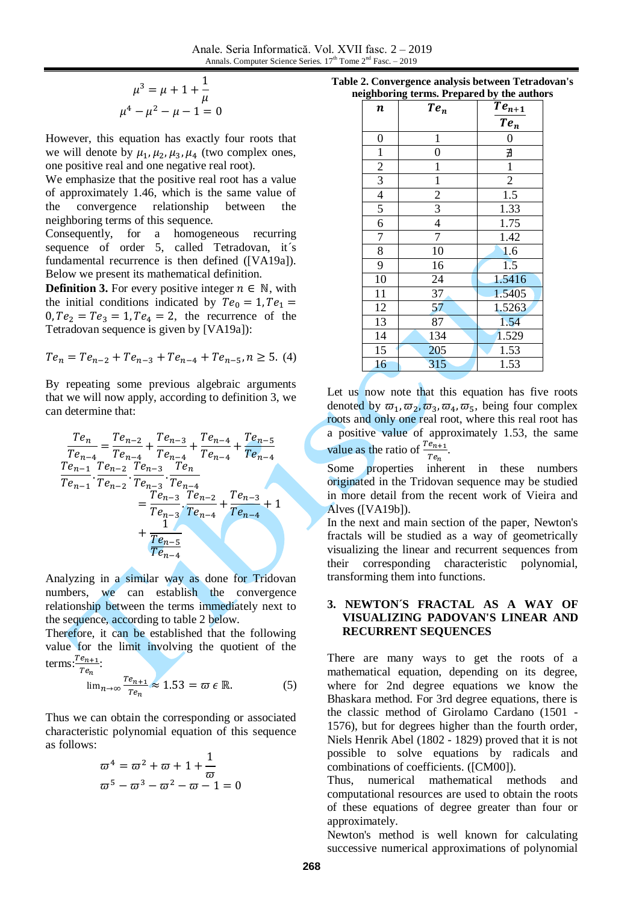$$
\mu^3 = \mu + 1 + \frac{1}{\mu}
$$

$$
\mu^4 - \mu^2 - \mu - 1 = 0
$$

However, this equation has exactly four roots that we will denote by  $\mu_1$ ,  $\mu_2$ ,  $\mu_3$ ,  $\mu_4$  (two complex ones, one positive real and one negative real root).

We emphasize that the positive real root has a value of approximately 1.46, which is the same value of the convergence relationship between the neighboring terms of this sequence.

Consequently, for a homogeneous recurring sequence of order 5, called Tetradovan, it's fundamental recurrence is then defined ([VA19a]). Below we present its mathematical definition.

**Definition 3.** For every positive integer  $n \in \mathbb{N}$ , with the initial conditions indicated by  $Te_0 = 1, Te_1 =$  $0, Te_2 = Te_3 = 1, Te_4 = 2$ , the recurrence of the Tetradovan sequence is given by [VA19a]):

$$
Te_n = Te_{n-2} + Te_{n-3} + Te_{n-4} + Te_{n-5}, n \ge 5. (4)
$$

By repeating some previous algebraic arguments that we will now apply, according to definition 3, we can determine that:

$$
\frac{Te_n}{Te_{n-4}} = \frac{Te_{n-2}}{Te_{n-4}} + \frac{Te_{n-3}}{Te_{n-4}} + \frac{Te_{n-4}}{Te_{n-4}} + \frac{Te_{n-5}}{Te_{n-4}}
$$
\n
$$
\frac{Te_{n-1}}{Te_{n-1}} \cdot \frac{Te_{n-2}}{Te_{n-2}} \cdot \frac{Te_{n-3}}{Te_{n-3}} \cdot \frac{Te_n}{Te_{n-4}}
$$
\n
$$
= \frac{Te_{n-3}}{Te_{n-3}} \cdot \frac{Te_{n-2}}{Te_{n-4}} + \frac{Te_{n-3}}{Te_{n-4}} + 1
$$
\n
$$
+ \frac{Te_{n-5}}{Te_{n-4}}
$$

Analyzing in a similar way as done for Tridovan numbers, we can establish the convergence relationship between the terms immediately next to the sequence, according to table 2 below.

Therefore, it can be established that the following value for the limit involving the quotient of the terms: $\frac{T}{t}$  $\frac{e_{n+1}}{Te_n}$ :

$$
\lim_{n \to \infty} \frac{r_{e_{n+1}}}{r_{e_n}} \approx 1.53 = \varpi \epsilon \mathbb{R}.
$$
 (5)

Thus we can obtain the corresponding or associated characteristic polynomial equation of this sequence as follows:

$$
\begin{aligned}\n\varpi^4 &= \varpi^2 + \varpi + 1 + \frac{1}{\varpi} \\
\varpi^5 - \varpi^3 - \varpi^2 - \varpi - 1 = 0\n\end{aligned}
$$

| Table 2. Convergence analysis between Tetradovan's |  |
|----------------------------------------------------|--|
| neighboring terms. Prepared by the authors         |  |

| eignboring wrms. I'r cparea by the author |                |                  |  |  |
|-------------------------------------------|----------------|------------------|--|--|
| n                                         | $Te_n$         | $Te_{n+1}$       |  |  |
|                                           |                | $Te_n$           |  |  |
| $\boldsymbol{0}$                          | $\mathbf{1}$   | $\boldsymbol{0}$ |  |  |
| $\mathbf{1}$                              | $\overline{0}$ | ∄                |  |  |
| $\frac{2}{3}$                             | $\mathbf{1}$   | $\mathbf{1}$     |  |  |
|                                           | $\mathbf{1}$   | $\overline{2}$   |  |  |
| $\overline{4}$                            | $\overline{c}$ | 1.5              |  |  |
| $\overline{5}$                            | $\mathfrak{Z}$ | 1.33             |  |  |
| 6                                         | $\overline{4}$ | 1.75             |  |  |
| 7                                         | $\overline{7}$ | 1.42             |  |  |
| $\overline{8}$                            | 10             | 1.6              |  |  |
| $\overline{9}$                            | 16             | 1.5              |  |  |
| 10                                        | 24             | 1.5416           |  |  |
| 11                                        | 37             | 1.5405           |  |  |
| 12                                        | 57             | 1.5263           |  |  |
| 13                                        | 87             | 1.54             |  |  |
| 14                                        | 134            | 1.529            |  |  |
| 15                                        | 205            | 1.53             |  |  |
| 16                                        | 315            | 1.53             |  |  |

Let us now note that this equation has five roots denoted by  $\varpi_1, \varpi_2, \varpi_3, \varpi_4, \varpi_5$ , being four complex roots and only one real root, where this real root has a positive value of approximately 1.53, the same value as the ratio of  $\frac{Te_{n+1}}{Te_n}$ .

Some properties inherent in these numbers originated in the Tridovan sequence may be studied in more detail from the recent work of Vieira and Alves ([VA19b]).

In the next and main section of the paper, Newton's fractals will be studied as a way of geometrically visualizing the linear and recurrent sequences from their corresponding characteristic polynomial, transforming them into functions.

#### **3. NEWTON´S FRACTAL AS A WAY OF VISUALIZING PADOVAN'S LINEAR AND RECURRENT SEQUENCES**

There are many ways to get the roots of a mathematical equation, depending on its degree, where for 2nd degree equations we know the Bhaskara method. For 3rd degree equations, there is the classic method of Girolamo Cardano (1501 - 1576), but for degrees higher than the fourth order, Niels Henrik Abel (1802 - 1829) proved that it is not possible to solve equations by radicals and combinations of coefficients. ([CM00]).

Thus, numerical mathematical methods and computational resources are used to obtain the roots of these equations of degree greater than four or approximately.

Newton's method is well known for calculating successive numerical approximations of polynomial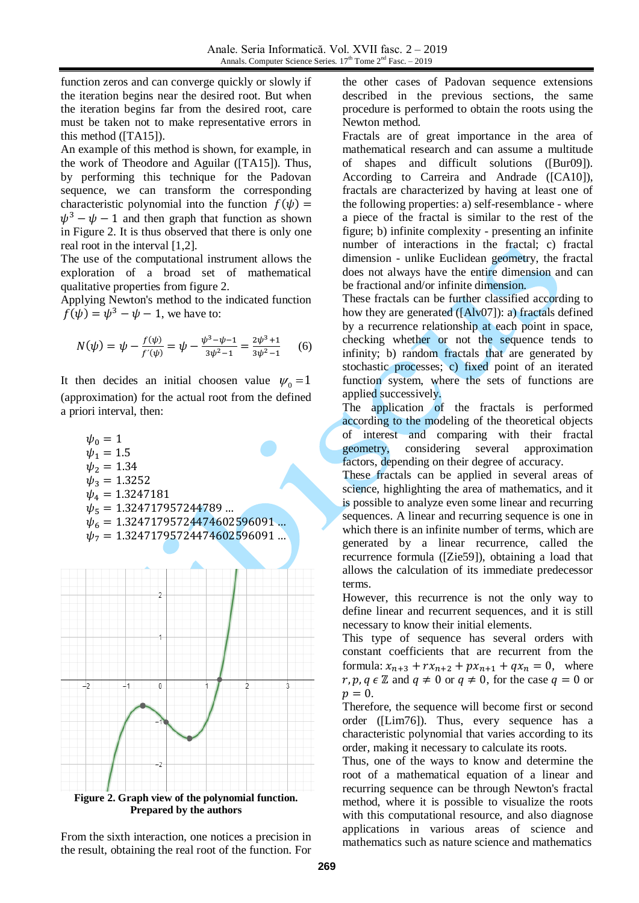function zeros and can converge quickly or slowly if the iteration begins near the desired root. But when the iteration begins far from the desired root, care must be taken not to make representative errors in this method ([TA15]).

An example of this method is shown, for example, in the work of Theodore and Aguilar ([TA15]). Thus, by performing this technique for the Padovan sequence, we can transform the corresponding characteristic polynomial into the function  $f(\psi)$  =  $\psi^3 - \psi - 1$  and then graph that function as shown in Figure 2. It is thus observed that there is only one real root in the interval [1,2].

The use of the computational instrument allows the exploration of a broad set of mathematical qualitative properties from figure 2.

Applying Newton's method to the indicated function  $f(\psi) = \psi^3 - \psi - 1$ , we have to:

$$
N(\psi) = \psi - \frac{f(\psi)}{f'(\psi)} = \psi - \frac{\psi^3 - \psi - 1}{3\psi^2 - 1} = \frac{2\psi^3 + 1}{3\psi^2 - 1} \tag{6}
$$

It then decides an initial choosen value  $\psi_0 = 1$ (approximation) for the actual root from the defined a priori interval, then:

 $\psi_0 = 1$  $\psi_1 = 1.5$  $\psi_2 = 1.34$  $\psi_3 = 1.3252$  $\psi_4 = 1.3247181$  $\psi_5 = 1.324717957244789...$  $\psi_6 = 1.32471795724474602596091...$  $\psi_7 = 1.32471795724474602596091...$ 



From the sixth interaction, one notices a precision in the result, obtaining the real root of the function. For

the other cases of Padovan sequence extensions described in the previous sections, the same procedure is performed to obtain the roots using the Newton method.

Fractals are of great importance in the area of mathematical research and can assume a multitude of shapes and difficult solutions ([Bur09]). According to Carreira and Andrade ([CA10]), fractals are characterized by having at least one of the following properties: a) self-resemblance - where a piece of the fractal is similar to the rest of the figure; b) infinite complexity - presenting an infinite number of interactions in the fractal; c) fractal dimension - unlike Euclidean geometry, the fractal does not always have the entire dimension and can be fractional and/or infinite dimension.

These fractals can be further classified according to how they are generated ([Alv07]): a) fractals defined by a recurrence relationship at each point in space, checking whether or not the sequence tends to infinity; b) random fractals that are generated by stochastic processes; c) fixed point of an iterated function system, where the sets of functions are applied successively.

The application of the fractals is performed according to the modeling of the theoretical objects of interest and comparing with their fractal geometry, considering several approximation factors, depending on their degree of accuracy.

These fractals can be applied in several areas of science, highlighting the area of mathematics, and it is possible to analyze even some linear and recurring sequences. A linear and recurring sequence is one in which there is an infinite number of terms, which are generated by a linear recurrence, called the recurrence formula ([Zie59]), obtaining a load that allows the calculation of its immediate predecessor terms.

However, this recurrence is not the only way to define linear and recurrent sequences, and it is still necessary to know their initial elements.

This type of sequence has several orders with constant coefficients that are recurrent from the formula:  $x_{n+3} + rx_{n+2} + px_{n+1} + qx_n = 0$ , where r, p, q  $\epsilon \mathbb{Z}$  and  $q \neq 0$  or  $q \neq 0$ , for the case  $q = 0$  or  $p=0.$ 

Therefore, the sequence will become first or second order ([Lim76]). Thus, every sequence has a characteristic polynomial that varies according to its order, making it necessary to calculate its roots.

Thus, one of the ways to know and determine the root of a mathematical equation of a linear and recurring sequence can be through Newton's fractal method, where it is possible to visualize the roots with this computational resource, and also diagnose applications in various areas of science and mathematics such as nature science and mathematics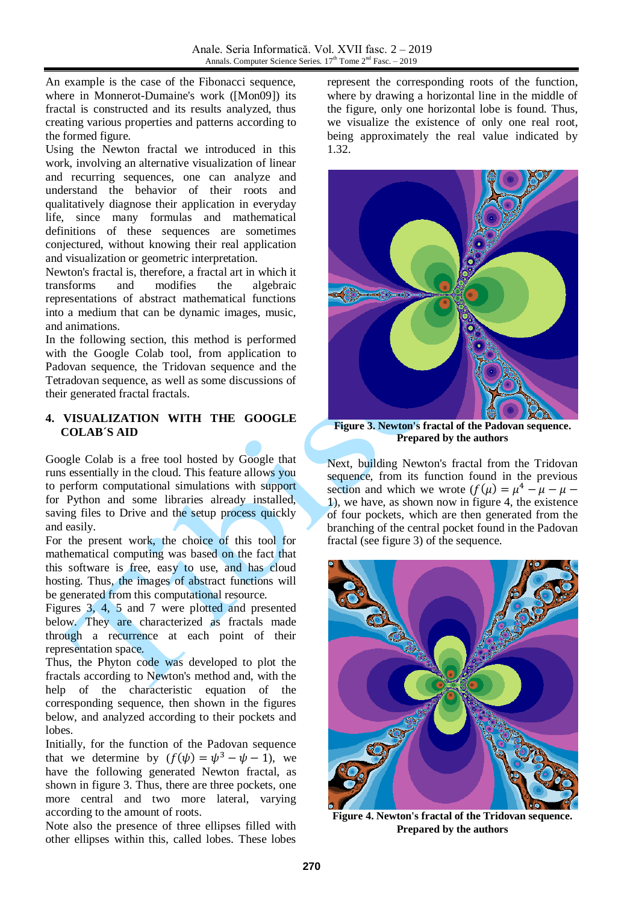An example is the case of the Fibonacci sequence, where in Monnerot-Dumaine's work ([Mon09]) its fractal is constructed and its results analyzed, thus creating various properties and patterns according to the formed figure.

Using the Newton fractal we introduced in this work, involving an alternative visualization of linear and recurring sequences, one can analyze and understand the behavior of their roots and qualitatively diagnose their application in everyday life, since many formulas and mathematical definitions of these sequences are sometimes conjectured, without knowing their real application and visualization or geometric interpretation.

Newton's fractal is, therefore, a fractal art in which it transforms and modifies the algebraic representations of abstract mathematical functions into a medium that can be dynamic images, music, and animations.

In the following section, this method is performed with the Google Colab tool, from application to Padovan sequence, the Tridovan sequence and the Tetradovan sequence, as well as some discussions of their generated fractal fractals.

## **4. VISUALIZATION WITH THE GOOGLE COLAB´S AID**

Google Colab is a free tool hosted by Google that runs essentially in the cloud. This feature allows you to perform computational simulations with support for Python and some libraries already installed, saving files to Drive and the setup process quickly and easily.

For the present work, the choice of this tool for mathematical computing was based on the fact that this software is free, easy to use, and has cloud hosting. Thus, the images of abstract functions will be generated from this computational resource.

Figures 3, 4, 5 and 7 were plotted and presented below. They are characterized as fractals made through a recurrence at each point of their representation space.

Thus, the Phyton code was developed to plot the fractals according to Newton's method and, with the help of the characteristic equation of the corresponding sequence, then shown in the figures below, and analyzed according to their pockets and lobes.

Initially, for the function of the Padovan sequence that we determine by  $(f(\psi) = \psi^3 - \psi - 1)$ , we have the following generated Newton fractal, as shown in figure 3. Thus, there are three pockets, one more central and two more lateral, varying according to the amount of roots.

Note also the presence of three ellipses filled with other ellipses within this, called lobes. These lobes

represent the corresponding roots of the function, where by drawing a horizontal line in the middle of the figure, only one horizontal lobe is found. Thus, we visualize the existence of only one real root, being approximately the real value indicated by 1.32.



**Figure 3. Newton's fractal of the Padovan sequence. Prepared by the authors**

Next, building Newton's fractal from the Tridovan sequence, from its function found in the previous section and which we wrote  $(f(\mu)) = \mu^4$  ), we have, as shown now in figure 4, the existence of four pockets, which are then generated from the branching of the central pocket found in the Padovan fractal (see figure 3) of the sequence.



**Figure 4. Newton's fractal of the Tridovan sequence. Prepared by the authors**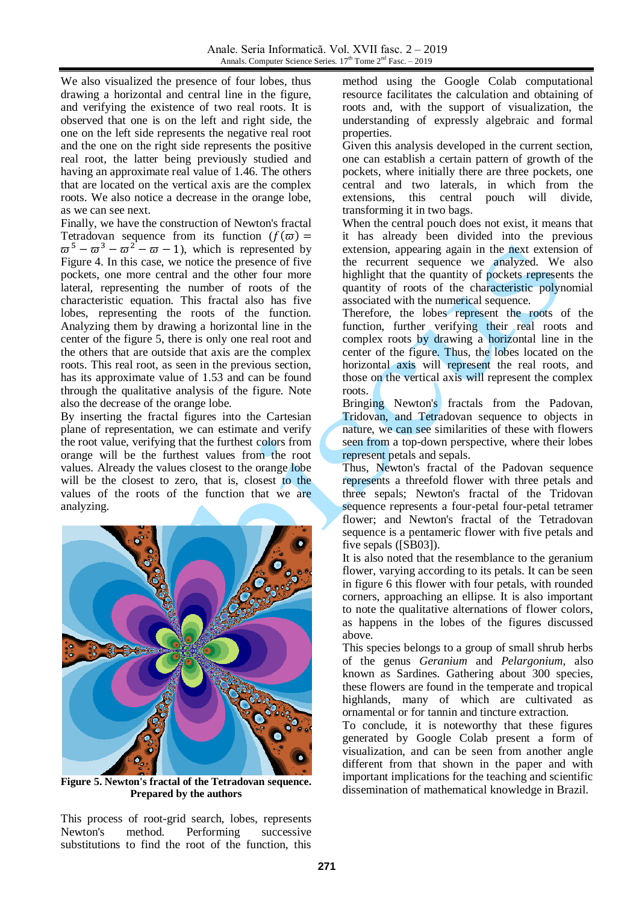We also visualized the presence of four lobes, thus drawing a horizontal and central line in the figure, and verifying the existence of two real roots. It is observed that one is on the left and right side, the one on the left side represents the negative real root and the one on the right side represents the positive real root, the latter being previously studied and having an approximate real value of 1.46. The others that are located on the vertical axis are the complex roots. We also notice a decrease in the orange lobe, as we can see next.

Finally, we have the construction of Newton's fractal Tetradovan sequence from its function  $(f(\varpi))$  =  $\overline{\omega}^5 - \overline{\omega}^3 - \overline{\omega}^2 - \overline{\omega} - 1$ , which is represented by Figure 4. In this case, we notice the presence of five pockets, one more central and the other four more lateral, representing the number of roots of the characteristic equation. This fractal also has five lobes, representing the roots of the function. Analyzing them by drawing a horizontal line in the center of the figure 5, there is only one real root and the others that are outside that axis are the complex roots. This real root, as seen in the previous section, has its approximate value of 1.53 and can be found through the qualitative analysis of the figure. Note also the decrease of the orange lobe.

By inserting the fractal figures into the Cartesian plane of representation, we can estimate and verify the root value, verifying that the furthest colors from orange will be the furthest values from the root values. Already the values closest to the orange lobe will be the closest to zero, that is, closest to the values of the roots of the function that we are analyzing.



**Figure 5. Newton's fractal of the Tetradovan sequence. Prepared by the authors**

This process of root-grid search, lobes, represents Newton's method. Performing successive substitutions to find the root of the function, this

method using the Google Colab computational resource facilitates the calculation and obtaining of roots and, with the support of visualization, the understanding of expressly algebraic and formal properties.

Given this analysis developed in the current section, one can establish a certain pattern of growth of the pockets, where initially there are three pockets, one central and two laterals, in which from the extensions, this central pouch will divide, transforming it in two bags.

When the central pouch does not exist, it means that it has already been divided into the previous extension, appearing again in the next extension of the recurrent sequence we analyzed. We also highlight that the quantity of pockets represents the quantity of roots of the characteristic polynomial associated with the numerical sequence.

Therefore, the lobes represent the roots of the function, further verifying their real roots and complex roots by drawing a horizontal line in the center of the figure. Thus, the lobes located on the horizontal axis will represent the real roots, and those on the vertical axis will represent the complex roots.

Bringing Newton's fractals from the Padovan, Tridovan, and Tetradovan sequence to objects in nature, we can see similarities of these with flowers seen from a top-down perspective, where their lobes represent petals and sepals.

Thus, Newton's fractal of the Padovan sequence represents a threefold flower with three petals and three sepals; Newton's fractal of the Tridovan sequence represents a four-petal four-petal tetramer flower; and Newton's fractal of the Tetradovan sequence is a pentameric flower with five petals and five sepals ([SB03]).

It is also noted that the resemblance to the geranium flower, varying according to its petals. It can be seen in figure 6 this flower with four petals, with rounded corners, approaching an ellipse. It is also important to note the qualitative alternations of flower colors, as happens in the lobes of the figures discussed above.

This species belongs to a group of small shrub herbs of the genus *Geranium* and *Pelargonium*, also known as Sardines. Gathering about 300 species, these flowers are found in the temperate and tropical highlands, many of which are cultivated as ornamental or for tannin and tincture extraction.

To conclude, it is noteworthy that these figures generated by Google Colab present a form of visualization, and can be seen from another angle different from that shown in the paper and with important implications for the teaching and scientific dissemination of mathematical knowledge in Brazil.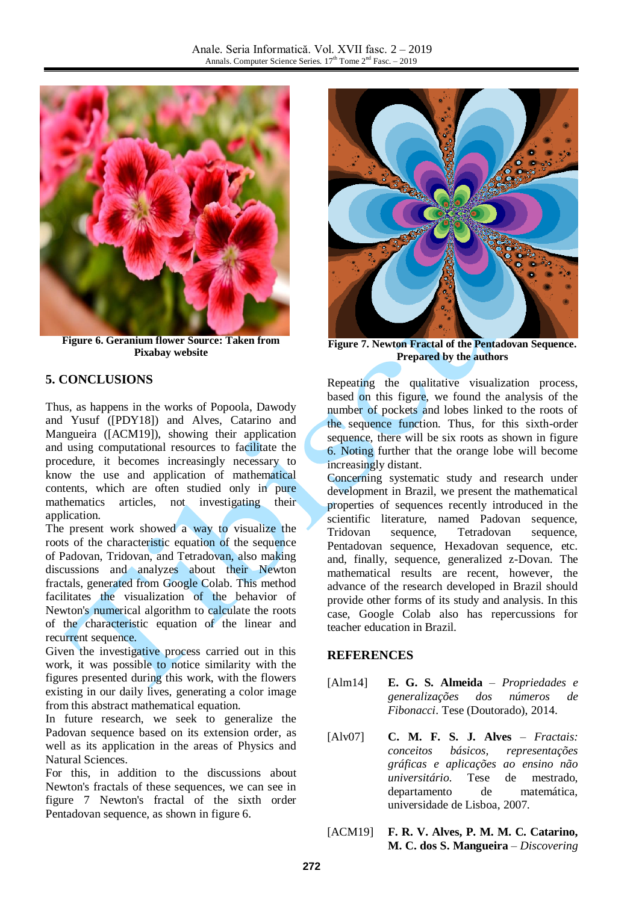

**Figure 6. Geranium flower Source: Taken from Pixabay website**

### **5. CONCLUSIONS**

Thus, as happens in the works of Popoola, Dawody and Yusuf ([PDY18]) and Alves, Catarino and Mangueira ([ACM19]), showing their application and using computational resources to facilitate the procedure, it becomes increasingly necessary to know the use and application of mathematical contents, which are often studied only in pure mathematics articles, not investigating their application.

The present work showed a way to visualize the roots of the characteristic equation of the sequence of Padovan, Tridovan, and Tetradovan, also making discussions and analyzes about their Newton fractals, generated from Google Colab. This method facilitates the visualization of the behavior of Newton's numerical algorithm to calculate the roots of the characteristic equation of the linear and recurrent sequence.

Given the investigative process carried out in this work, it was possible to notice similarity with the figures presented during this work, with the flowers existing in our daily lives, generating a color image from this abstract mathematical equation.

In future research, we seek to generalize the Padovan sequence based on its extension order, as well as its application in the areas of Physics and Natural Sciences.

For this, in addition to the discussions about Newton's fractals of these sequences, we can see in figure 7 Newton's fractal of the sixth order Pentadovan sequence, as shown in figure 6.



**Figure 7. Newton Fractal of the Pentadovan Sequence. Prepared by the authors**

Repeating the qualitative visualization process, based on this figure, we found the analysis of the number of pockets and lobes linked to the roots of the sequence function. Thus, for this sixth-order sequence, there will be six roots as shown in figure 6. Noting further that the orange lobe will become increasingly distant.

Concerning systematic study and research under development in Brazil, we present the mathematical properties of sequences recently introduced in the scientific literature, named Padovan sequence, Tridovan sequence, Tetradovan sequence, Pentadovan sequence, Hexadovan sequence, etc. and, finally, sequence, generalized z-Dovan. The mathematical results are recent, however, the advance of the research developed in Brazil should provide other forms of its study and analysis. In this case, Google Colab also has repercussions for teacher education in Brazil.

### **REFERENCES**

- [Alm14] **E. G. S. Almeida** *Propriedades e generalizações dos números de Fibonacci*. Tese (Doutorado), 2014.
- [Alv07] **C. M. F. S. J. Alves** *Fractais: conceitos básicos, representações gráficas e aplicações ao ensino não universitário*. Tese de mestrado, departamento de matemática, universidade de Lisboa, 2007.
- [ACM19] **F. R. V. Alves, P. M. M. C. Catarino, M. C. dos S. Mangueira** – *Discovering*